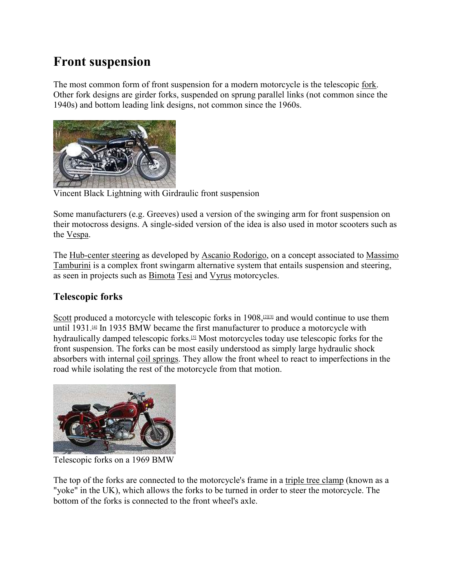# **Front suspension**

The most common form of front suspension for a modern motorcycle is the telescopic fork. Other fork designs are girder forks, suspended on sprung parallel links (not common since the 1940s) and bottom leading link designs, not common since the 1960s.



Vincent Black Lightning with Girdraulic front suspension

Some manufacturers (e.g. Greeves) used a version of the swinging arm for front suspension on their motocross designs. A single-sided version of the idea is also used in motor scooters such as the Vespa.

The Hub-center steering as developed by Ascanio Rodorigo, on a concept associated to Massimo Tamburini is a complex front swingarm alternative system that entails suspension and steering, as seen in projects such as Bimota Tesi and Vyrus motorcycles.

## **Telescopic forks**

Scott produced a motorcycle with telescopic forks in  $1908$ ,  $2131$  and would continue to use them until 1931. $4$  In 1935 BMW became the first manufacturer to produce a motorcycle with hydraulically damped telescopic forks.[5] Most motorcycles today use telescopic forks for the front suspension. The forks can be most easily understood as simply large hydraulic shock absorbers with internal coil springs. They allow the front wheel to react to imperfections in the road while isolating the rest of the motorcycle from that motion.



Telescopic forks on a 1969 BMW

The top of the forks are connected to the motorcycle's frame in a triple tree clamp (known as a "yoke" in the UK), which allows the forks to be turned in order to steer the motorcycle. The bottom of the forks is connected to the front wheel's axle.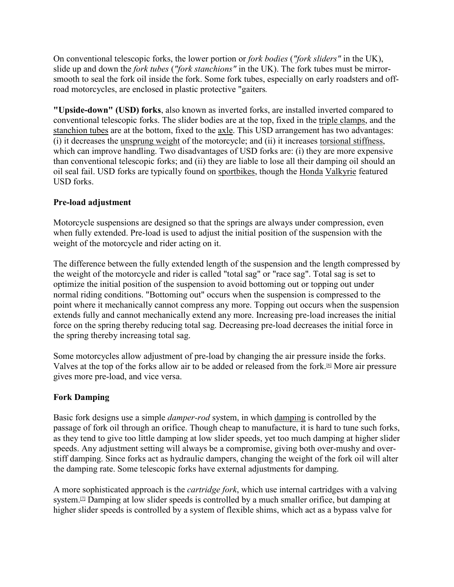On conventional telescopic forks, the lower portion or *fork bodies* (*"fork sliders"* in the UK), slide up and down the *fork tubes* (*"fork stanchions"* in the UK). The fork tubes must be mirrorsmooth to seal the fork oil inside the fork. Some fork tubes, especially on early roadsters and offroad motorcycles, are enclosed in plastic protective "gaiters*.*

**"Upside-down" (USD) forks**, also known as inverted forks, are installed inverted compared to conventional telescopic forks. The slider bodies are at the top, fixed in the triple clamps, and the stanchion tubes are at the bottom, fixed to the <u>axle</u>. This USD arrangement has two advantages: (i) it decreases the unsprung weight of the motorcycle; and (ii) it increases torsional stiffness, which can improve handling. Two disadvantages of USD forks are: (i) they are more expensive than conventional telescopic forks; and (ii) they are liable to lose all their damping oil should an oil seal fail. USD forks are typically found on sportbikes, though the Honda Valkyrie featured USD forks.

#### **Pre-load adjustment**

Motorcycle suspensions are designed so that the springs are always under compression, even when fully extended. Pre-load is used to adjust the initial position of the suspension with the weight of the motorcycle and rider acting on it.

The difference between the fully extended length of the suspension and the length compressed by the weight of the motorcycle and rider is called "total sag" or "race sag". Total sag is set to optimize the initial position of the suspension to avoid bottoming out or topping out under normal riding conditions. "Bottoming out" occurs when the suspension is compressed to the point where it mechanically cannot compress any more. Topping out occurs when the suspension extends fully and cannot mechanically extend any more. Increasing pre-load increases the initial force on the spring thereby reducing total sag. Decreasing pre-load decreases the initial force in the spring thereby increasing total sag.

Some motorcycles allow adjustment of pre-load by changing the air pressure inside the forks. Valves at the top of the forks allow air to be added or released from the fork.[6] More air pressure gives more pre-load, and vice versa.

#### **Fork Damping**

Basic fork designs use a simple *damper-rod* system, in which damping is controlled by the passage of fork oil through an orifice. Though cheap to manufacture, it is hard to tune such forks, as they tend to give too little damping at low slider speeds, yet too much damping at higher slider speeds. Any adjustment setting will always be a compromise, giving both over-mushy and overstiff damping. Since forks act as hydraulic dampers, changing the weight of the fork oil will alter the damping rate. Some telescopic forks have external adjustments for damping.

A more sophisticated approach is the *cartridge fork*, which use internal cartridges with a valving system.<sup>[2]</sup> Damping at low slider speeds is controlled by a much smaller orifice, but damping at higher slider speeds is controlled by a system of flexible shims, which act as a bypass valve for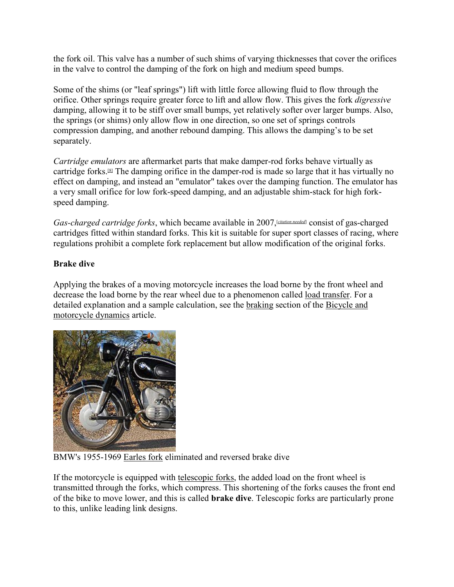the fork oil. This valve has a number of such shims of varying thicknesses that cover the orifices in the valve to control the damping of the fork on high and medium speed bumps.

Some of the shims (or "leaf springs") lift with little force allowing fluid to flow through the orifice. Other springs require greater force to lift and allow flow. This gives the fork *digressive* damping, allowing it to be stiff over small bumps, yet relatively softer over larger bumps. Also, the springs (or shims) only allow flow in one direction, so one set of springs controls compression damping, and another rebound damping. This allows the damping's to be set separately.

*Cartridge emulators* are aftermarket parts that make damper-rod forks behave virtually as cartridge forks.[8] The damping orifice in the damper-rod is made so large that it has virtually no effect on damping, and instead an "emulator" takes over the damping function. The emulator has a very small orifice for low fork-speed damping, and an adjustable shim-stack for high forkspeed damping.

Gas-charged cartridge forks, which became available in 2007, [citation needed] consist of gas-charged cartridges fitted within standard forks. This kit is suitable for super sport classes of racing, where regulations prohibit a complete fork replacement but allow modification of the original forks.

#### **Brake dive**

Applying the brakes of a moving motorcycle increases the load borne by the front wheel and decrease the load borne by the rear wheel due to a phenomenon called load transfer. For a detailed explanation and a sample calculation, see the braking section of the Bicycle and motorcycle dynamics article.



BMW's 1955-1969 Earles fork eliminated and reversed brake dive

If the motorcycle is equipped with telescopic forks, the added load on the front wheel is transmitted through the forks, which compress. This shortening of the forks causes the front end of the bike to move lower, and this is called **brake dive**. Telescopic forks are particularly prone to this, unlike leading link designs.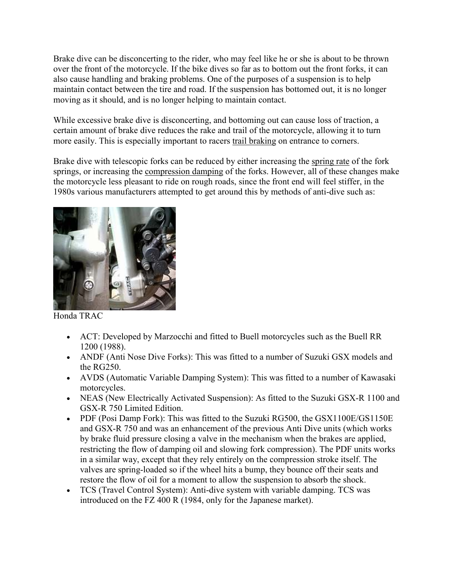Brake dive can be disconcerting to the rider, who may feel like he or she is about to be thrown over the front of the motorcycle. If the bike dives so far as to bottom out the front forks, it can also cause handling and braking problems. One of the purposes of a suspension is to help maintain contact between the tire and road. If the suspension has bottomed out, it is no longer moving as it should, and is no longer helping to maintain contact.

While excessive brake dive is disconcerting, and bottoming out can cause loss of traction, a certain amount of brake dive reduces the rake and trail of the motorcycle, allowing it to turn more easily. This is especially important to racers trail braking on entrance to corners.

Brake dive with telescopic forks can be reduced by either increasing the spring rate of the fork springs, or increasing the compression damping of the forks. However, all of these changes make the motorcycle less pleasant to ride on rough roads, since the front end will feel stiffer, in the 1980s various manufacturers attempted to get around this by methods of anti-dive such as:



Honda TRAC

- ACT: Developed by Marzocchi and fitted to Buell motorcycles such as the Buell RR 1200 (1988).
- ANDF (Anti Nose Dive Forks): This was fitted to a number of Suzuki GSX models and the RG250.
- AVDS (Automatic Variable Damping System): This was fitted to a number of Kawasaki motorcycles.
- NEAS (New Electrically Activated Suspension): As fitted to the Suzuki GSX-R 1100 and GSX-R 750 Limited Edition.
- PDF (Posi Damp Fork): This was fitted to the Suzuki RG500, the GSX1100E/GS1150E and GSX-R 750 and was an enhancement of the previous Anti Dive units (which works by brake fluid pressure closing a valve in the mechanism when the brakes are applied, restricting the flow of damping oil and slowing fork compression). The PDF units works in a similar way, except that they rely entirely on the compression stroke itself. The valves are spring-loaded so if the wheel hits a bump, they bounce off their seats and restore the flow of oil for a moment to allow the suspension to absorb the shock.
- TCS (Travel Control System): Anti-dive system with variable damping. TCS was introduced on the FZ 400 R (1984, only for the Japanese market).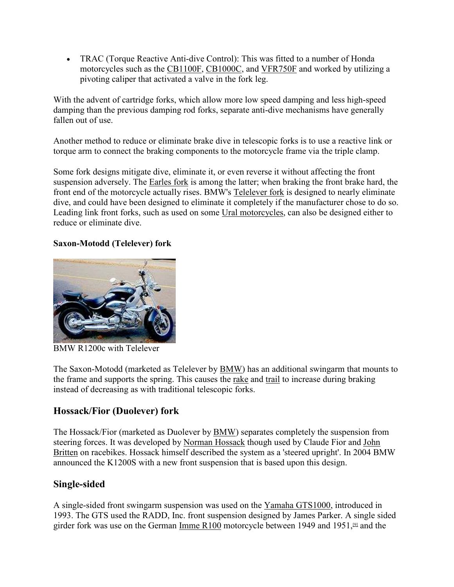TRAC (Torque Reactive Anti-dive Control): This was fitted to a number of Honda motorcycles such as the CB1100F, CB1000C, and VFR750F and worked by utilizing a pivoting caliper that activated a valve in the fork leg.

With the advent of cartridge forks, which allow more low speed damping and less high-speed damping than the previous damping rod forks, separate anti-dive mechanisms have generally fallen out of use.

Another method to reduce or eliminate brake dive in telescopic forks is to use a reactive link or torque arm to connect the braking components to the motorcycle frame via the triple clamp.

Some fork designs mitigate dive, eliminate it, or even reverse it without affecting the front suspension adversely. The Earles fork is among the latter; when braking the front brake hard, the front end of the motorcycle actually rises. BMW's Telelever fork is designed to nearly eliminate dive, and could have been designed to eliminate it completely if the manufacturer chose to do so. Leading link front forks, such as used on some Ural motorcycles, can also be designed either to reduce or eliminate dive.

#### **Saxon-Motodd (Telelever) fork**



BMW R1200c with Telelever

The Saxon-Motodd (marketed as Telelever by BMW) has an additional swingarm that mounts to the frame and supports the spring. This causes the rake and trail to increase during braking instead of decreasing as with traditional telescopic forks.

## **Hossack/Fior (Duolever) fork**

The Hossack/Fior (marketed as Duolever by BMW) separates completely the suspension from steering forces. It was developed by Norman Hossack though used by Claude Fior and John Britten on racebikes. Hossack himself described the system as a 'steered upright'. In 2004 BMW announced the K1200S with a new front suspension that is based upon this design.

## **Single-sided**

A single-sided front swingarm suspension was used on the Yamaha GTS1000, introduced in 1993. The GTS used the RADD, Inc. front suspension designed by James Parker. A single sided girder fork was use on the German Imme R100 motorcycle between 1949 and 1951, $\mathfrak{g}$  and the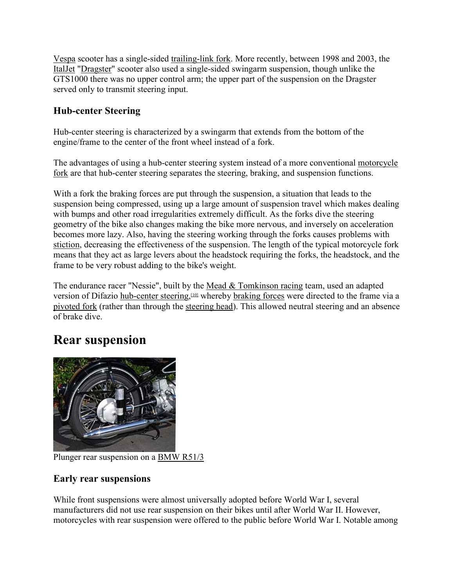Vespa scooter has a single-sided trailing-link fork. More recently, between 1998 and 2003, the ItalJet "Dragster" scooter also used a single-sided swingarm suspension, though unlike the GTS1000 there was no upper control arm; the upper part of the suspension on the Dragster served only to transmit steering input.

### **Hub-center Steering**

Hub-center steering is characterized by a swingarm that extends from the bottom of the engine/frame to the center of the front wheel instead of a fork.

The advantages of using a hub-center steering system instead of a more conventional motorcycle fork are that hub-center steering separates the steering, braking, and suspension functions.

With a fork the braking forces are put through the suspension, a situation that leads to the suspension being compressed, using up a large amount of suspension travel which makes dealing with bumps and other road irregularities extremely difficult. As the forks dive the steering geometry of the bike also changes making the bike more nervous, and inversely on acceleration becomes more lazy. Also, having the steering working through the forks causes problems with stiction, decreasing the effectiveness of the suspension. The length of the typical motorcycle fork means that they act as large levers about the headstock requiring the forks, the headstock, and the frame to be very robust adding to the bike's weight.

The endurance racer "Nessie", built by the Mead & Tomkinson racing team, used an adapted version of Difazio hub-center steering,<sup>[10]</sup> whereby braking forces were directed to the frame via a pivoted fork (rather than through the steering head). This allowed neutral steering and an absence of brake dive.

# **Rear suspension**



Plunger rear suspension on a BMW R51/3

## **Early rear suspensions**

While front suspensions were almost universally adopted before World War I, several manufacturers did not use rear suspension on their bikes until after World War II. However, motorcycles with rear suspension were offered to the public before World War I. Notable among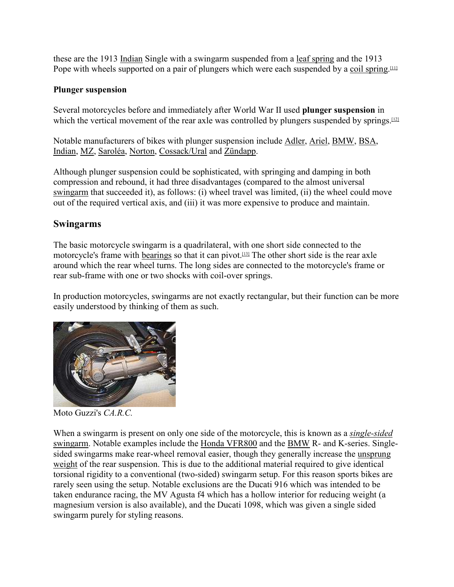these are the 1913 Indian Single with a swingarm suspended from a leaf spring and the 1913 Pope with wheels supported on a pair of plungers which were each suspended by a coil spring.<sup>[11]</sup>

#### **Plunger suspension**

Several motorcycles before and immediately after World War II used **plunger suspension** in which the vertical movement of the rear axle was controlled by plungers suspended by springs.<sup>[12]</sup>

Notable manufacturers of bikes with plunger suspension include Adler, Ariel, BMW, BSA, Indian, MZ, Saroléa, Norton, Cossack/Ural and Zündapp.

Although plunger suspension could be sophisticated, with springing and damping in both compression and rebound, it had three disadvantages (compared to the almost universal swingarm that succeeded it), as follows: (i) wheel travel was limited, (ii) the wheel could move out of the required vertical axis, and (iii) it was more expensive to produce and maintain.

#### **Swingarms**

The basic motorcycle swingarm is a quadrilateral, with one short side connected to the motorcycle's frame with bearings so that it can pivot.<sup>[13]</sup> The other short side is the rear axle around which the rear wheel turns. The long sides are connected to the motorcycle's frame or rear sub-frame with one or two shocks with coil-over springs.

In production motorcycles, swingarms are not exactly rectangular, but their function can be more easily understood by thinking of them as such.



Moto Guzzi's *CA.R.C.*

When a swingarm is present on only one side of the motorcycle, this is known as a *single-sided* swingarm. Notable examples include the Honda VFR800 and the BMW R- and K-series. Singlesided swingarms make rear-wheel removal easier, though they generally increase the unsprung weight of the rear suspension. This is due to the additional material required to give identical torsional rigidity to a conventional (two-sided) swingarm setup. For this reason sports bikes are rarely seen using the setup. Notable exclusions are the Ducati 916 which was intended to be taken endurance racing, the MV Agusta f4 which has a hollow interior for reducing weight (a magnesium version is also available), and the Ducati 1098, which was given a single sided swingarm purely for styling reasons.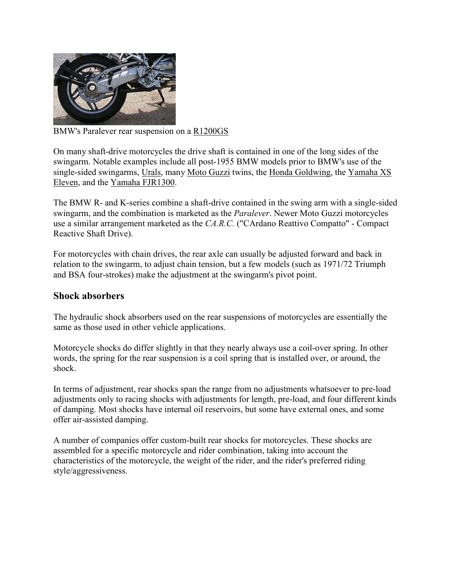

BMW's Paralever rear suspension on a R1200GS

On many shaft-drive motorcycles the drive shaft is contained in one of the long sides of the swingarm. Notable examples include all post-1955 BMW models prior to BMW's use of the single-sided swingarms, Urals, many Moto Guzzi twins, the Honda Goldwing, the Yamaha XS Eleven, and the Yamaha FJR1300.

The BMW R- and K-series combine a shaft-drive contained in the swing arm with a single-sided swingarm, and the combination is marketed as the *Paralever*. Newer Moto Guzzi motorcycles use a similar arrangement marketed as the *CA.R.C.* ("CArdano Reattivo Compatto" - Compact Reactive Shaft Drive).

For motorcycles with chain drives, the rear axle can usually be adjusted forward and back in relation to the swingarm, to adjust chain tension, but a few models (such as 1971/72 Triumph and BSA four-strokes) make the adjustment at the swingarm's pivot point.

#### **Shock absorbers**

The hydraulic shock absorbers used on the rear suspensions of motorcycles are essentially the same as those used in other vehicle applications.

Motorcycle shocks do differ slightly in that they nearly always use a coil-over spring. In other words, the spring for the rear suspension is a coil spring that is installed over, or around, the shock.

In terms of adjustment, rear shocks span the range from no adjustments whatsoever to pre-load adjustments only to racing shocks with adjustments for length, pre-load, and four different kinds of damping. Most shocks have internal oil reservoirs, but some have external ones, and some offer air-assisted damping.

A number of companies offer custom-built rear shocks for motorcycles. These shocks are assembled for a specific motorcycle and rider combination, taking into account the characteristics of the motorcycle, the weight of the rider, and the rider's preferred riding style/aggressiveness.